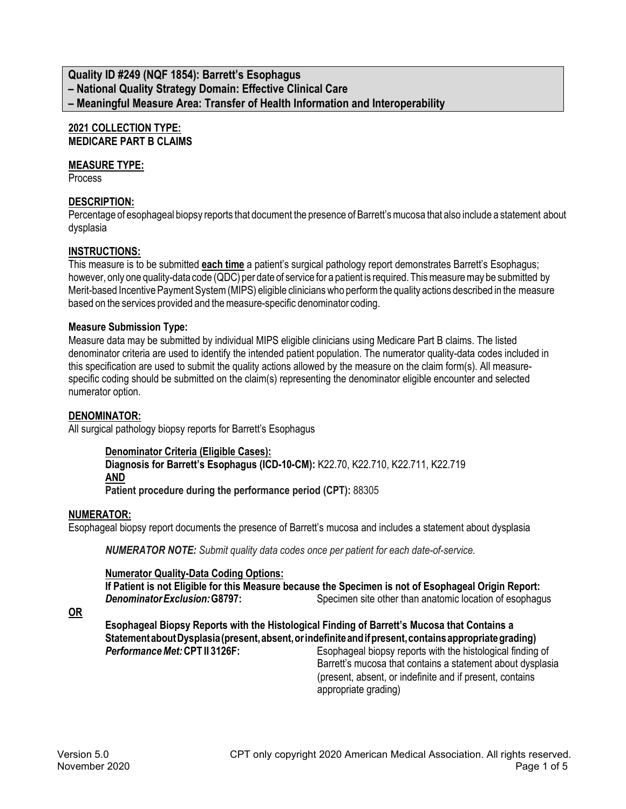## **Quality ID #249 (NQF 1854): Barrett's Esophagus – National Quality Strategy Domain: Effective Clinical Care – Meaningful Measure Area: Transfer of Health Information and Interoperability**

### **2021 COLLECTION TYPE: MEDICARE PART B CLAIMS**

### **MEASURE TYPE:**

Process

### **DESCRIPTION:**

Percentage of esophageal biopsy reports that document the presence of Barrett's mucosa that also include a statement about dysplasia

### **INSTRUCTIONS:**

This measure is to be submitted **each time** a patient's surgical pathology report demonstrates Barrett's Esophagus; however, only one quality-data code (QDC) per date of service for a patient is required. This measure may be submitted by Merit-based Incentive Payment System (MIPS) eligible clinicians who perform the quality actions described in the measure based on the services provided and the measure-specific denominator coding.

#### **Measure Submission Type:**

Measure data may be submitted by individual MIPS eligible clinicians using Medicare Part B claims. The listed denominator criteria are used to identify the intended patient population. The numerator quality-data codes included in this specification are used to submit the quality actions allowed by the measure on the claim form(s). All measurespecific coding should be submitted on the claim(s) representing the denominator eligible encounter and selected numerator option.

#### **DENOMINATOR:**

All surgical pathology biopsy reports for Barrett's Esophagus

#### **Denominator Criteria (Eligible Cases): Diagnosis for Barrett's Esophagus (ICD-10-CM):** K22.70, K22.710, K22.711, K22.719 **AND Patient procedure during the performance period (CPT):** 88305

#### **NUMERATOR:**

Esophageal biopsy report documents the presence of Barrett's mucosa and includes a statement about dysplasia

*NUMERATOR NOTE: Submit quality data codes once per patient for each date-of-service.*

#### **Numerator Quality-Data Coding Options:**

**If Patient is not Eligible for this Measure because the Specimen is not of Esophageal Origin Report: Denominator Exclusion: G8797:** Specimen site other than anatomic location of esophagus

**OR**

**Esophageal Biopsy Reports with the Histological Finding of Barrett's Mucosa that Contains a**  Statement about Dysplasia (present, absent, or indefinite and if present, contains appropriate grading) **Performance Met: CPT II 3126F:** Esophageal biopsy reports with the histological finding of

Barrett's mucosa that contains a statement about dysplasia (present, absent, or indefinite and if present, contains appropriate grading)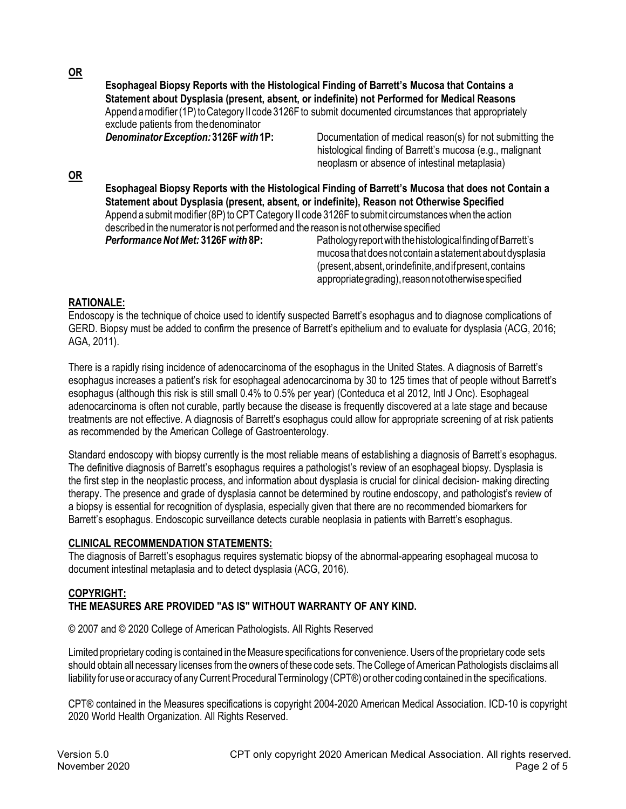**OR**

**OR**

**Esophageal Biopsy Reports with the Histological Finding of Barrett's Mucosa that Contains a Statement about Dysplasia (present, absent, or indefinite) not Performed for Medical Reasons** Append a modifier (1P) to Category II code 3126F to submit documented circumstances that appropriately exclude patients from thedenominator *DenominatorException:* **3126F***with***1P:** Documentation of medical reason(s) for not submitting the histological finding of Barrett's mucosa (e.g., malignant neoplasm or absence of intestinal metaplasia) **Esophageal Biopsy Reports with the Histological Finding of Barrett's Mucosa that does not Contain a Statement about Dysplasia (present, absent, or indefinite), Reason not Otherwise Specified**  Append a submit modifier (8P) to CPT Category II code 3126F to submit circumstances when the action described in the numerator is not performed and the reason is not otherwise specified

**Performance Not Met: 3126F** with 8P: Pathology report with the histological finding of Barrett's mucosa that does not contain a statement about dysplasia (present,absent,orindefinite,andifpresent,contains appropriate grading), reason not otherwise specified

# **RATIONALE:**

Endoscopy is the technique of choice used to identify suspected Barrett's esophagus and to diagnose complications of GERD. Biopsy must be added to confirm the presence of Barrett's epithelium and to evaluate for dysplasia (ACG, 2016; AGA, 2011).

There is a rapidly rising incidence of adenocarcinoma of the esophagus in the United States. A diagnosis of Barrett's esophagus increases a patient's risk for esophageal adenocarcinoma by 30 to 125 times that of people without Barrett's esophagus (although this risk is still small 0.4% to 0.5% per year) (Conteduca et al 2012, Intl J Onc). Esophageal adenocarcinoma is often not curable, partly because the disease is frequently discovered at a late stage and because treatments are not effective. A diagnosis of Barrett's esophagus could allow for appropriate screening of at risk patients as recommended by the American College of Gastroenterology.

Standard endoscopy with biopsy currently is the most reliable means of establishing a diagnosis of Barrett's esophagus. The definitive diagnosis of Barrett's esophagus requires a pathologist's review of an esophageal biopsy. Dysplasia is the first step in the neoplastic process, and information about dysplasia is crucial for clinical decision- making directing therapy. The presence and grade of dysplasia cannot be determined by routine endoscopy, and pathologist's review of a biopsy is essential for recognition of dysplasia, especially given that there are no recommended biomarkers for Barrett's esophagus. Endoscopic surveillance detects curable neoplasia in patients with Barrett's esophagus.

### **CLINICAL RECOMMENDATION STATEMENTS:**

The diagnosis of Barrett's esophagus requires systematic biopsy of the abnormal-appearing esophageal mucosa to document intestinal metaplasia and to detect dysplasia (ACG, 2016).

### **COPYRIGHT: THE MEASURES ARE PROVIDED "AS IS" WITHOUT WARRANTY OF ANY KIND.**

© 2007 and © 2020 College of American Pathologists. All Rights Reserved

Limited proprietary coding is contained in the Measure specifications for convenience. Users of the proprietary code sets should obtain all necessary licenses from the owners of these code sets. The College of American Pathologists disclaims all liability for use or accuracy of any Current Procedural Terminology (CPT®) or other coding contained in the specifications.

CPT® contained in the Measures specifications is copyright 2004-2020 American Medical Association. ICD-10 is copyright 2020 World Health Organization. All Rights Reserved.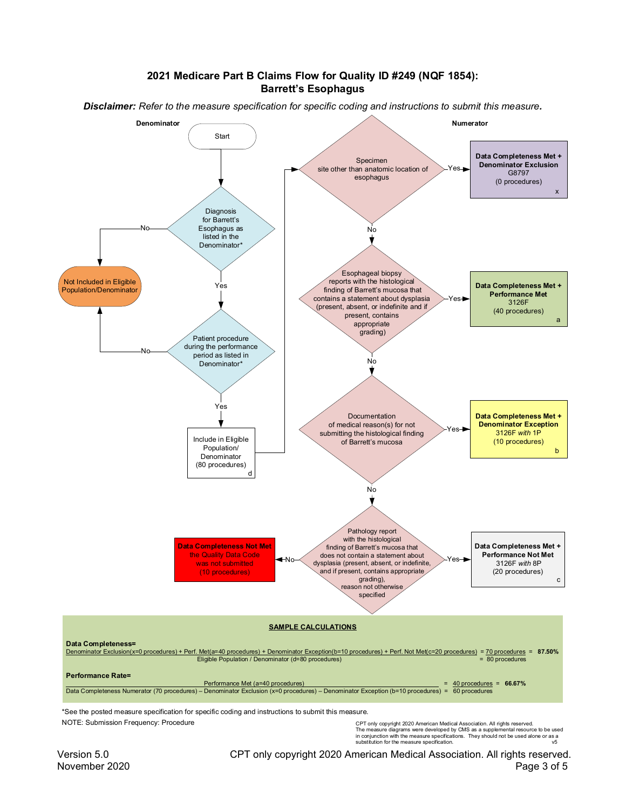#### 2021 Medicare Part B Claims Flow for Quality ID #249 (NQF 1854): **Barrett's Esophagus**

Disclaimer: Refer to the measure specification for specific coding and instructions to submit this measure.



\*See the posted measure specification for specific coding and instructions to submit this measure. NOTE: Submission Frequency: Procedure

CPT only copyright 2020 American Medical Association. All rights reserved. The measure digitaris were developed by CMS as a supplemental resource to be used<br>in conjunction with the measure specifications. They should not be used alone or as a<br>substitution for the measure specifications. They shou

Version 5.0 CPT only copyright 2020 American Medical Association. All rights reserved. November 2020 Page 3 of 5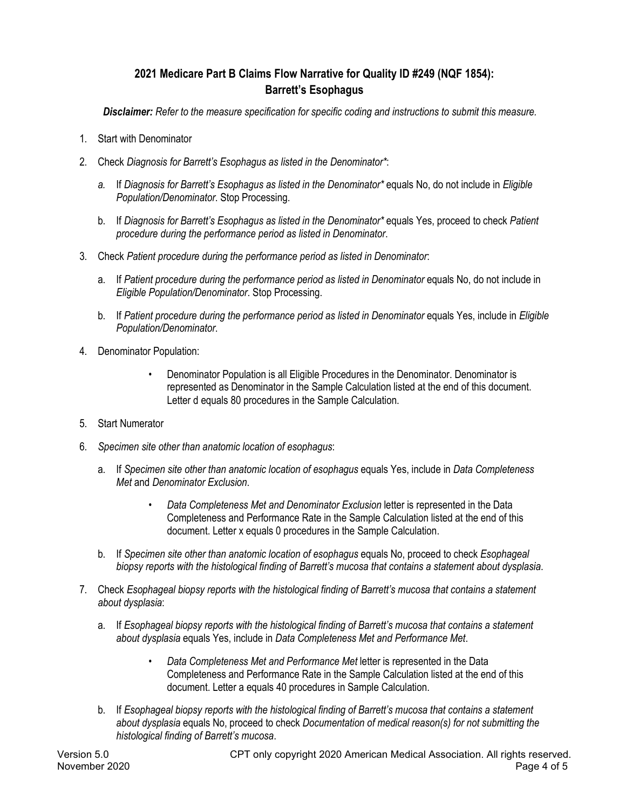# **2021 Medicare Part B Claims Flow Narrative for Quality ID #249 (NQF 1854): Barrett's Esophagus**

*Disclaimer: Refer to the measure specification for specific coding and instructions to submit this measure.*

- 1. Start with Denominator
- 2. Check *Diagnosis for Barrett's Esophagus as listed in the Denominator\**:
	- *a.* If *Diagnosis for Barrett's Esophagus as listed in the Denominator\** equals No, do not include in *Eligible Population/Denominator*. Stop Processing.
	- b. If *Diagnosis for Barrett's Esophagus as listed in the Denominator\** equals Yes, proceed to check *Patient procedure during the performance period as listed in Denominator*.
- 3. Check *Patient procedure during the performance period as listed in Denominator*:
	- a. If *Patient procedure during the performance period as listed in Denominator* equals No, do not include in *Eligible Population/Denominator*. Stop Processing.
	- b. If *Patient procedure during the performance period as listed in Denominator* equals Yes, include in *Eligible Population/Denominator*.
- 4. Denominator Population:
	- Denominator Population is all Eligible Procedures in the Denominator. Denominator is represented as Denominator in the Sample Calculation listed at the end of this document. Letter d equals 80 procedures in the Sample Calculation.
- 5. Start Numerator
- 6. *Specimen site other than anatomic location of esophagus*:
	- a. If *Specimen site other than anatomic location of esophagus* equals Yes, include in *Data Completeness Met* and *Denominator Exclusion*.
		- *Data Completeness Met and Denominator Exclusion* letter is represented in the Data Completeness and Performance Rate in the Sample Calculation listed at the end of this document. Letter x equals 0 procedures in the Sample Calculation.
	- b. If *Specimen site other than anatomic location of esophagus* equals No, proceed to check *Esophageal biopsy reports with the histological finding of Barrett's mucosa that contains a statement about dysplasia*.
- 7. Check *Esophageal biopsy reports with the histological finding of Barrett's mucosa that contains a statement about dysplasia*:
	- a. If *Esophageal biopsy reports with the histological finding of Barrett's mucosa that contains a statement about dysplasia* equals Yes, include in *Data Completeness Met and Performance Met*.
		- *Data Completeness Met and Performance Met* letter is represented in the Data Completeness and Performance Rate in the Sample Calculation listed at the end of this document. Letter a equals 40 procedures in Sample Calculation.
	- b. If *Esophageal biopsy reports with the histological finding of Barrett's mucosa that contains a statement about dysplasia* equals No, proceed to check *Documentation of medical reason(s) for not submitting the histological finding of Barrett's mucosa*.